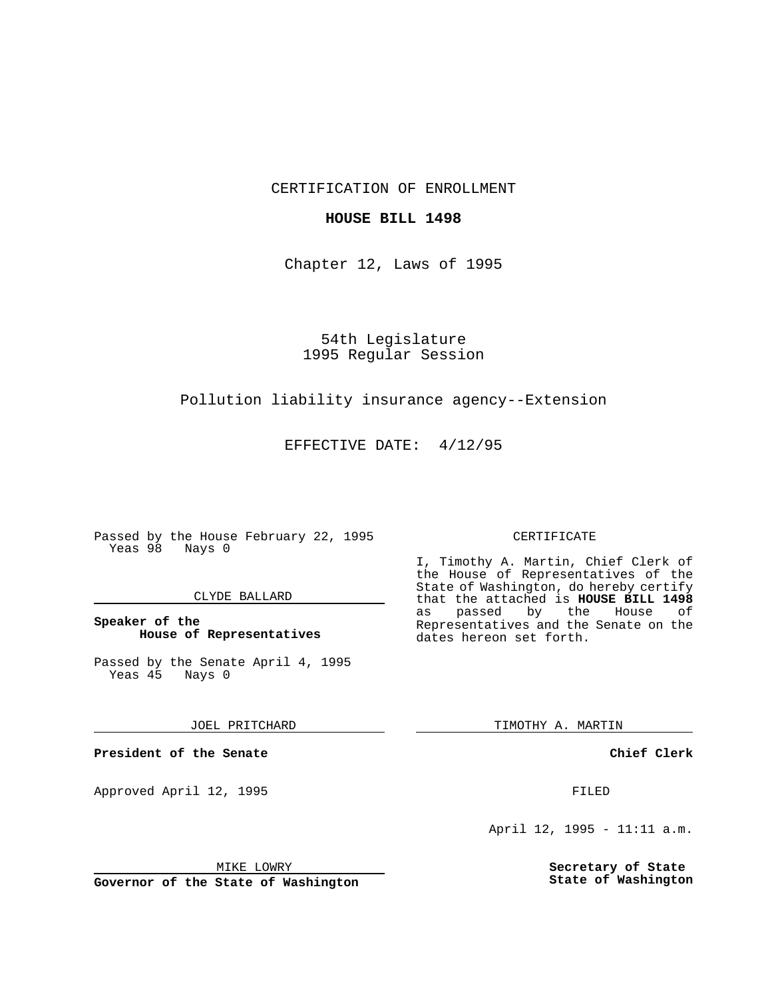CERTIFICATION OF ENROLLMENT

## **HOUSE BILL 1498**

Chapter 12, Laws of 1995

54th Legislature 1995 Regular Session

# Pollution liability insurance agency--Extension

EFFECTIVE DATE: 4/12/95

Passed by the House February 22, 1995 Yeas 98 Nays 0

## CLYDE BALLARD

## **Speaker of the House of Representatives**

Passed by the Senate April 4, 1995<br>Yeas 45 Nays 0 Yeas 45

#### JOEL PRITCHARD

**President of the Senate**

Approved April 12, 1995 FILED

# CERTIFICATE

I, Timothy A. Martin, Chief Clerk of the House of Representatives of the State of Washington, do hereby certify that the attached is **HOUSE BILL 1498** as passed by the Representatives and the Senate on the dates hereon set forth.

TIMOTHY A. MARTIN

## **Chief Clerk**

April 12, 1995 - 11:11 a.m.

**Secretary of State State of Washington**

MIKE LOWRY

**Governor of the State of Washington**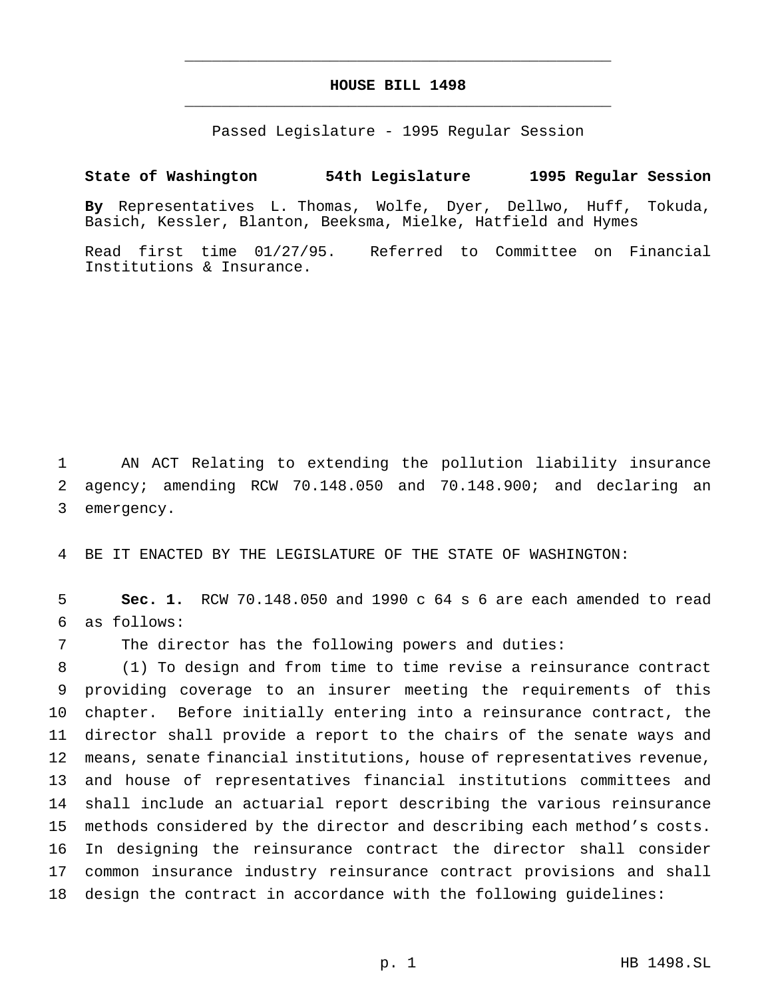# **HOUSE BILL 1498** \_\_\_\_\_\_\_\_\_\_\_\_\_\_\_\_\_\_\_\_\_\_\_\_\_\_\_\_\_\_\_\_\_\_\_\_\_\_\_\_\_\_\_\_\_\_\_

\_\_\_\_\_\_\_\_\_\_\_\_\_\_\_\_\_\_\_\_\_\_\_\_\_\_\_\_\_\_\_\_\_\_\_\_\_\_\_\_\_\_\_\_\_\_\_

Passed Legislature - 1995 Regular Session

## **State of Washington 54th Legislature 1995 Regular Session**

**By** Representatives L. Thomas, Wolfe, Dyer, Dellwo, Huff, Tokuda, Basich, Kessler, Blanton, Beeksma, Mielke, Hatfield and Hymes

Read first time 01/27/95. Referred to Committee on Financial Institutions & Insurance.

 AN ACT Relating to extending the pollution liability insurance agency; amending RCW 70.148.050 and 70.148.900; and declaring an emergency.

BE IT ENACTED BY THE LEGISLATURE OF THE STATE OF WASHINGTON:

 **Sec. 1.** RCW 70.148.050 and 1990 c 64 s 6 are each amended to read as follows:

The director has the following powers and duties:

 (1) To design and from time to time revise a reinsurance contract providing coverage to an insurer meeting the requirements of this chapter. Before initially entering into a reinsurance contract, the director shall provide a report to the chairs of the senate ways and means, senate financial institutions, house of representatives revenue, and house of representatives financial institutions committees and shall include an actuarial report describing the various reinsurance methods considered by the director and describing each method's costs. In designing the reinsurance contract the director shall consider common insurance industry reinsurance contract provisions and shall design the contract in accordance with the following guidelines: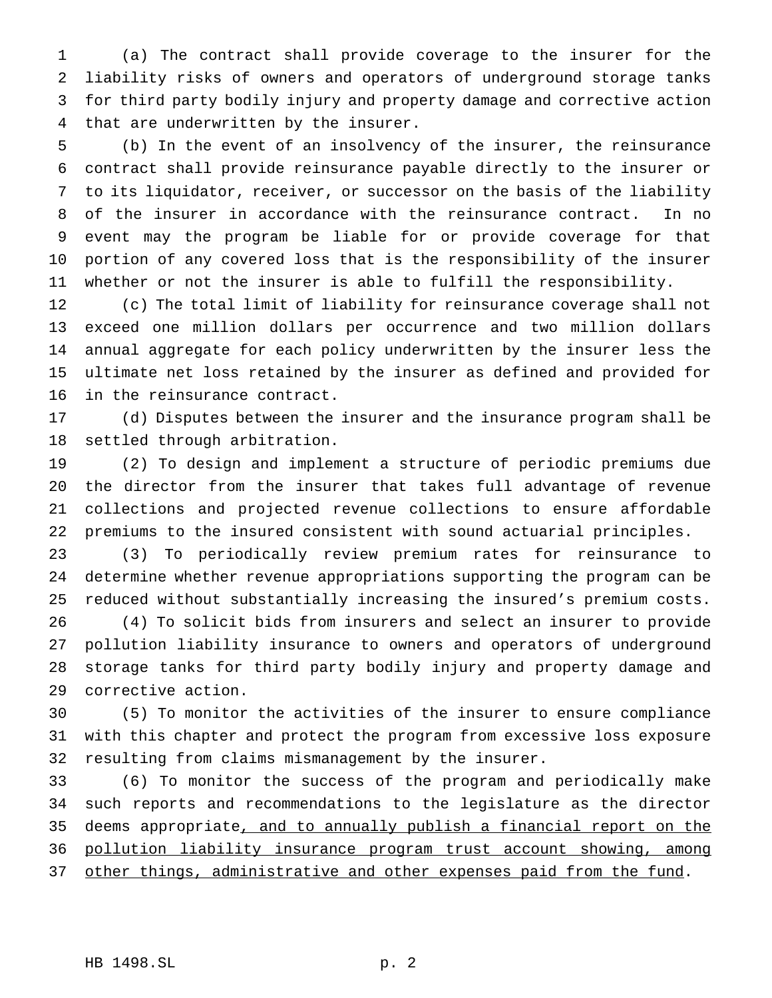(a) The contract shall provide coverage to the insurer for the liability risks of owners and operators of underground storage tanks for third party bodily injury and property damage and corrective action that are underwritten by the insurer.

 (b) In the event of an insolvency of the insurer, the reinsurance contract shall provide reinsurance payable directly to the insurer or to its liquidator, receiver, or successor on the basis of the liability of the insurer in accordance with the reinsurance contract. In no event may the program be liable for or provide coverage for that portion of any covered loss that is the responsibility of the insurer whether or not the insurer is able to fulfill the responsibility.

 (c) The total limit of liability for reinsurance coverage shall not exceed one million dollars per occurrence and two million dollars annual aggregate for each policy underwritten by the insurer less the ultimate net loss retained by the insurer as defined and provided for in the reinsurance contract.

 (d) Disputes between the insurer and the insurance program shall be settled through arbitration.

 (2) To design and implement a structure of periodic premiums due the director from the insurer that takes full advantage of revenue collections and projected revenue collections to ensure affordable premiums to the insured consistent with sound actuarial principles.

 (3) To periodically review premium rates for reinsurance to determine whether revenue appropriations supporting the program can be reduced without substantially increasing the insured's premium costs.

 (4) To solicit bids from insurers and select an insurer to provide pollution liability insurance to owners and operators of underground storage tanks for third party bodily injury and property damage and corrective action.

 (5) To monitor the activities of the insurer to ensure compliance with this chapter and protect the program from excessive loss exposure resulting from claims mismanagement by the insurer.

 (6) To monitor the success of the program and periodically make such reports and recommendations to the legislature as the director deems appropriate, and to annually publish a financial report on the pollution liability insurance program trust account showing, among 37 other things, administrative and other expenses paid from the fund.